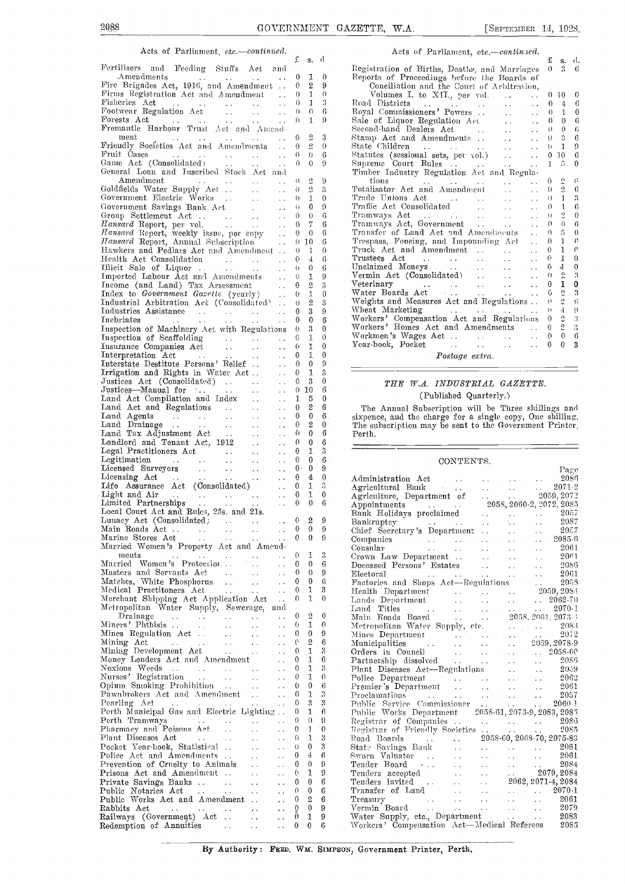### Acts of Parliament, etc. $—continued.$

|                                                                                                                                                                                                                                              |                                         |                                               | £                    | s.             | đ                |                |
|----------------------------------------------------------------------------------------------------------------------------------------------------------------------------------------------------------------------------------------------|-----------------------------------------|-----------------------------------------------|----------------------|----------------|------------------|----------------|
| Fertilisers and Feeding Stuffs Act and                                                                                                                                                                                                       |                                         |                                               |                      |                |                  | Rι             |
| Amendments<br>$\mathbf{A}(\mathbf{x})$ and $\mathbf{A}(\mathbf{x})$ and $\mathbf{A}(\mathbf{x})$                                                                                                                                             |                                         | $\sim 100$                                    | 0                    | 1              | 0                | R١             |
| Fire Brigades Act, 1916, and Amendment<br>Firms Registration Act and Amendment                                                                                                                                                               |                                         |                                               | 0                    | 2              | 9                |                |
| Fisheries Act                                                                                                                                                                                                                                |                                         |                                               | 0<br>0               | 1<br>1         | 0<br>3           |                |
| Fisheries Act<br>Footwear Regulation Act<br>Forests Act<br>Forests Act                                                                                                                                                                       |                                         | $\sim$ $\sim$                                 | 0                    | 0              | 6                | R٥<br>R,       |
|                                                                                                                                                                                                                                              |                                         | $\sim$ $\sim$                                 | J).                  | 1              | 9                | S.             |
|                                                                                                                                                                                                                                              |                                         |                                               |                      |                |                  | $\rm Se$       |
| $_{\rm ment}$                                                                                                                                                                                                                                |                                         |                                               | $\mathbf{0}$         | 2              | 3                | St             |
| ment<br>Friendly Societies Act and Amendments                                                                                                                                                                                                |                                         |                                               | $^{0}$               | 2              | 0                | St             |
| Fruit Čases<br>Game Act (Consolidated)                                                                                                                                                                                                       |                                         | $\sim 10$                                     | 0                    | 0              | 6                | St             |
|                                                                                                                                                                                                                                              |                                         | $\sim$ $\sim$                                 | 0                    | $\theta$       | 9                | Sι             |
| General Loan and Inscribed Stock Act and                                                                                                                                                                                                     |                                         |                                               |                      |                |                  | Т              |
| Amendment                                                                                                                                                                                                                                    |                                         |                                               | 0                    | 2              | 9                |                |
|                                                                                                                                                                                                                                              |                                         |                                               | 0                    | $\overline{2}$ | 3                | Τо<br>т        |
|                                                                                                                                                                                                                                              |                                         |                                               | 0                    | 1              | 0                | Tı             |
|                                                                                                                                                                                                                                              |                                         |                                               | Ü                    | 0<br>$\theta$  | 9<br>6           | Tı             |
|                                                                                                                                                                                                                                              |                                         |                                               | 0<br>0               | 7              | 6                | т              |
|                                                                                                                                                                                                                                              |                                         |                                               | 0                    | $\bf{0}$       | 6                | Tı             |
| Government Electric Works<br>Government Electric Works<br>Government Savings Bank Act<br>Group Settlement Act<br>Hansard Report, per vol.<br>Hansard Report, Weekly issue, per copy<br>Hansard Report, Amund Subscription<br>Hansard Report, |                                         |                                               |                      | 0, 10          | 6                | T.             |
| Hawkers and Pedlars Act and Amendment                                                                                                                                                                                                        |                                         |                                               | 0                    | 1              | 0                | T              |
|                                                                                                                                                                                                                                              |                                         |                                               | 0                    | $\overline{4}$ | 6                | т              |
| Health Act Consolidation<br>Illieit Sale of Liquor<br>Imported Labour Act and Amendments                                                                                                                                                     |                                         |                                               | 0                    | 0              | 6                | Uī             |
|                                                                                                                                                                                                                                              |                                         |                                               | 0                    | 1              | 9                | $\rm{V}$       |
| Income (and Land) Tax Assessment<br>Income (and Land) Tax Assessment<br>Index to <i>Government Gasette</i> (yearly)<br>Industrial Arbitration Act (Consolidated)                                                                             |                                         |                                               | 0                    | 2              | 3                | $\rm V_{0}$    |
|                                                                                                                                                                                                                                              |                                         |                                               | O.                   | 1              | 0                | W              |
|                                                                                                                                                                                                                                              |                                         |                                               | U                    | $\mathbf 2$    | 3                | w              |
| Industries Assistance<br>Inebriates                                                                                                                                                                                                          |                                         | $\sim$ .                                      | 0                    | 3              | 9                | W<br>W         |
|                                                                                                                                                                                                                                              |                                         | $\sim$ $\sim$                                 | 0                    | 0              | 6                | w              |
| Inspection of Machinery Act with Regulations                                                                                                                                                                                                 |                                         |                                               | 0                    | 3              | 0                | W              |
|                                                                                                                                                                                                                                              |                                         |                                               | 0                    | 1              | 0<br>0           | Υ              |
|                                                                                                                                                                                                                                              |                                         |                                               | 0<br>0               | 1<br>1         | 0                |                |
|                                                                                                                                                                                                                                              |                                         |                                               | 0                    | 0              | 9                |                |
| Irrigation and Rights in Water Act                                                                                                                                                                                                           |                                         | $\sim$ $\sim$                                 | 0                    | 1              | 3                |                |
|                                                                                                                                                                                                                                              |                                         |                                               | C                    | 3              | 0                |                |
|                                                                                                                                                                                                                                              |                                         |                                               | 0                    | 10             | 6                |                |
|                                                                                                                                                                                                                                              |                                         |                                               | 1                    | 5              | 0                |                |
|                                                                                                                                                                                                                                              |                                         |                                               | 0                    | 2              | 6                |                |
|                                                                                                                                                                                                                                              |                                         |                                               | $\theta$             | $\bf{0}$       | 6                | si:            |
|                                                                                                                                                                                                                                              |                                         |                                               | 0                    | 2              | 0                | T              |
|                                                                                                                                                                                                                                              |                                         |                                               | 0                    | 0              | 6                | P١             |
|                                                                                                                                                                                                                                              |                                         |                                               | 0                    | 0              | 6                |                |
|                                                                                                                                                                                                                                              |                                         | $\sim$ $\sim$                                 | 0                    | 1              | 3                |                |
|                                                                                                                                                                                                                                              |                                         | $\sim 10$                                     | 0                    | 0              | 6                |                |
|                                                                                                                                                                                                                                              |                                         | $\sim$ $\sim$                                 | $0-$                 | $\bf{0}$       | 9                |                |
| Legal Practitioners Act<br>Legal Practitioners Act<br>Legitimation<br>Licensed Surveyors<br>Licensing Act<br>Life Assurance Act (Consolidated)<br>Life Assurance Act (Consolidated)                                                          |                                         | $\ddot{\phantom{a}}$ .                        | 0                    | 4              | 0                | A              |
|                                                                                                                                                                                                                                              |                                         | $\mathcal{L}^{\mathcal{L}}(\mathcal{L})$      | 0                    | 1<br>1         | 3<br>0           | A,             |
|                                                                                                                                                                                                                                              |                                         | $\sim$ $\sim$<br>$\mathcal{L}_{\mathbf{A}}$ . | $\bf{0}$<br>$\bf{0}$ | 0              | 6                | A,             |
| Local Court Act and Rules, 25s. and 21s.                                                                                                                                                                                                     |                                         |                                               |                      |                |                  | A1<br>B.       |
| Lunacy Act (Consolidated)                                                                                                                                                                                                                    |                                         |                                               | $\theta$             | 2              | 9                | Β٤             |
|                                                                                                                                                                                                                                              | $\sim 10^{-11}$                         |                                               | 0                    | 0              | 9                | Cŀ             |
| Marine Stores Act<br>$\sim 100$<br><b>Contractor</b>                                                                                                                                                                                         |                                         | $\ddotsc$                                     | 0                    | 0              | 9                | Сc             |
| Married Women's Property Act and Amend-                                                                                                                                                                                                      |                                         |                                               |                      |                |                  | Сc             |
| ments<br><b>Contract</b><br>$\sim 10^{-1}$<br>$\sim 100$                                                                                                                                                                                     |                                         | $\sim$ $\sim$                                 | 0                    | 1              | 3                | Сr             |
| Married Women's Protection                                                                                                                                                                                                                   | $\ddot{\phantom{a}}$                    | $\ddot{\phantom{0}}$                          | 0                    | 0              | 6                | D0             |
| Masters and Servants Act<br>$\sim 100$                                                                                                                                                                                                       | $\sim$ $\sim$                           | $\ddot{\phantom{1}}$                          | 0                    | 0              | 9                | Е1             |
| Matches, White Phosphorus<br>$\mathcal{L}(\mathcal{A})$                                                                                                                                                                                      | $\sim$ $\sim$                           | $\ddot{\phantom{1}}$                          | 0                    | 0              | 6                | $\mathbf{F}_t$ |
| Medical Practitoners Act<br>$\mathcal{L}^{\text{max}}$ and $\mathcal{L}^{\text{max}}$<br>$\sim 100$                                                                                                                                          |                                         | $\sim$ $\sim$                                 | 0                    | 1              | 3                | н              |
| Merchant Shipping Act Application Act                                                                                                                                                                                                        |                                         | $\ddot{\phantom{a}}$ .                        | 0                    | 1              | 0                | Lε             |
| Metropolitan Water Supply, Sewerage,<br>Drainage                                                                                                                                                                                             |                                         | and                                           | 0                    | 2              | 0                | Lŧ             |
| $\sim$ $\sim$<br>$\label{eq:2} \frac{1}{2}\frac{1}{2}\left(\frac{1}{2}-\frac{1}{2}\right) = \frac{1}{2}\frac{1}{2}\frac{1}{2}$<br>Miners' Phthisis<br>$\sim$ $\sim$                                                                          | $\ddotsc$<br>$\ddot{\phantom{0}}$       | $\ddotsc$<br>$\ddot{\phantom{0}}$             | 0                    | 1.             | 0                | М<br>м         |
| Mines Regulation Act.<br>$\sim 10^{-1}$                                                                                                                                                                                                      | i.                                      | $\ddotsc$                                     | 0                    | 0              | 9                | M              |
| Mining Act<br><b>Contractor</b> Service<br>$\sim$ $\sim$                                                                                                                                                                                     | $\sim$                                  |                                               | 6                    | 2              | 6                | м              |
| Mining Development Act<br>$\sim$ 14                                                                                                                                                                                                          | $\sim$                                  | . .                                           | 0                    | 1              | 3                | O1             |
| Money Lenders Act and Amendment                                                                                                                                                                                                              |                                         | $\ddot{\phantom{a}}$                          | 0                    | 1              | 0                | Pε             |
| Noxious Weeds<br>$\sim 100$ km s $^{-1}$                                                                                                                                                                                                     |                                         | $\ddotsc$                                     | 0                    | 1              | 3                | PI             |
| Nurses' Registration                                                                                                                                                                                                                         | $\sim 10$                               | i.                                            | 0                    | 1              | 0                | $\rm P_{C}$    |
| Nurses' Registration<br>Opium Smoking Prohibition                                                                                                                                                                                            | $\sim 10^{-1}$                          | $\ddotsc$                                     | 0                    | 0              | 6                | $_{\rm P1}$    |
| Pawnbrokers Act and Amendment                                                                                                                                                                                                                |                                         | $\sim$ $\sim$                                 | 0                    | 1              | 3                | $_{\rm P1}$    |
| Pearling Act                                                                                                                                                                                                                                 | i.                                      | $\ddot{\phantom{1}}$ .                        | 0                    | 3              | 3                | Pι             |
| Perth Municipal Gas and Electric Lighting                                                                                                                                                                                                    |                                         |                                               | 0                    | 1              | 6                | P <sub>t</sub> |
| Perth Tramways<br>$\sim 100$ km s $^{-1}$<br>$\sim$ $\sim$                                                                                                                                                                                   | $\ddot{\phantom{0}}$                    | $\epsilon$ .                                  | 0                    | 0              | 9                | Re             |
| Pharmacy and Poisons Act                                                                                                                                                                                                                     | $\ddot{\phantom{a}}$                    | i.                                            | 0                    | 1              | 0                | Еc             |
| Plant Diseases Act<br>$\sim 100$ km s $^{-1}$<br>$\sim 100$ km s $^{-1}$                                                                                                                                                                     | $\ddot{\phantom{0}}$                    | $\ddot{\phantom{0}}$                          | 0                    | 1              | $\boldsymbol{3}$ | Rc             |
| Pocket Year-book, Statistical<br>Police Act and Amendments                                                                                                                                                                                   | $\ddot{\phantom{a}}$                    | $\ddot{\phantom{0}}$                          | 0<br>0               | 0<br>4         | 3<br>6           | St<br>Sy       |
| Prevention of Cruelty to Animals                                                                                                                                                                                                             | $\sim$ $\sim$<br>$\ddot{\phantom{a}}$ . | $\sim$ $\sim$                                 | 0                    | 0              | 9                | $T\epsilon$    |
| Prisons Act and Amendment                                                                                                                                                                                                                    | $\sim$ $\sim$                           | . .<br>έú,                                    | 0                    | 1              | 9                | Τe             |
| Private Savings Banks                                                                                                                                                                                                                        | $\sim$ $\sim$                           |                                               | 0                    | 0              | 6                | Tε             |
| Public Notaries Act<br>$\ddot{\phantom{a}}$ .<br>$\sim 100$                                                                                                                                                                                  | $\ddot{\phantom{0}}$                    | $\ddot{\phantom{0}}$                          | 0                    | 0              | 6                | T1             |
| Public Works Act and Amendment                                                                                                                                                                                                               |                                         | μ.                                            | 0                    | 2              | 6                | Тr             |
| Rabbits Act<br>$\sim 100$ km s $^{-1}$<br>$\ddot{\phantom{1}}$ .                                                                                                                                                                             | $\ddot{\phantom{0}}$                    | . .                                           | 0                    | $\bf{0}$       | 9                | $\rm{v_{0}}$   |
| Railways (Government) Act                                                                                                                                                                                                                    | 44                                      | $\ddot{\phantom{0}}$                          | 0                    | 1              | 9                | W              |
| Redemption of Annuities<br><b>Contract</b>                                                                                                                                                                                                   | уý.                                     | . .                                           | $\bf{0}$             | 0              | 6                | W              |
|                                                                                                                                                                                                                                              |                                         |                                               |                      |                |                  |                |

| Acts of Parliament, etc.-continued.                                                        |                      |                   |                         |                |
|--------------------------------------------------------------------------------------------|----------------------|-------------------|-------------------------|----------------|
|                                                                                            |                      | £                 | <b>S.</b>               | d.             |
| Registration of Births, Deaths, and Marriages                                              |                      | $\Omega$          | $\mathbf{R}$            | 6              |
| Reports of Proceedings before the Boards of                                                |                      |                   |                         |                |
| Conciliation and the Court of Arbitration,                                                 |                      |                   |                         |                |
| Volumes I. to XII., per vol.                                                               | $\sim 10^{-11}$      |                   | $0 - 10$                | $\theta$       |
|                                                                                            |                      |                   | $0 \quad 4$ .           | 6              |
| Road Districts<br>Royal Commissioners' Powers                                              | $\mathbf{r}$         | $0 -$             | 1                       | 0              |
|                                                                                            |                      |                   | $0^{\circ}$ $0^{\circ}$ | 6              |
|                                                                                            |                      | ()                | 0                       | 6              |
| Stamp Act and Amendments                                                                   |                      | $\theta$          | $\mathbb{S}$            | 6              |
|                                                                                            |                      | G.                | 1                       | 9              |
| State Children<br>Statutes (sessional sets, per vol.)<br>Supreme Court Rules               |                      | 0                 | 10                      | 6              |
|                                                                                            |                      | $\mathbf{I}$      | $\tilde{\mathcal{D}}$   | $\theta$       |
| Timber Industry Regulation Act and Regula-                                                 |                      |                   |                         |                |
|                                                                                            |                      | $^{0}$            | $\overline{2}$          | $\mathfrak{g}$ |
|                                                                                            |                      | 0                 | $\overline{2}$          | 6              |
|                                                                                            |                      | ()                | $\mathbf{1}$            | 3              |
| Trade Unions Act<br>Traffic Act Consolidated                                               |                      | 0                 | $\mathbf{I}$            | 6              |
|                                                                                            |                      | $\mathbf{H}$      | $\overline{2}$          | $\theta$       |
| Tramways Act<br>Tramways Act, Government                                                   |                      | $\Omega$          | $\Omega$                | 6              |
| Transfer of Land Act and Amendments                                                        | $\ddot{\phantom{a}}$ | 0.                | $\overline{5}$          | $\theta$       |
| Trespass, Fencing, and Impounding Act                                                      |                      | $\Omega$          | <sup>1</sup>            | €              |
| Truck Act and Amendment                                                                    | $\ddot{\phantom{0}}$ | $\Omega$          | $\mathbf{1}$            | €              |
| Trustees Act<br>Unclaimed Moneys<br>Vermin Act (Consolidated)<br>Vermin Act (Consolidated) |                      | 0                 | $\mathbf{1}$            | $\theta$       |
|                                                                                            | $\ddot{\phantom{0}}$ | G                 | $\mathbf{d}$            | $\mathbf{0}$   |
|                                                                                            | $\mathbf{r}$         | $\Omega$          | 2                       | 3              |
|                                                                                            |                      | $\overline{0}$    | 1                       | $\bf{0}$       |
| Water Boards Act                                                                           |                      | G                 | $\overline{5}$          | 3              |
| Weights and Measures Act and Regulations                                                   |                      | $\mathbf{a}$      | $\overline{2}$          | 6              |
| Wheat Marketing<br>and the state of the state of the state                                 |                      | $\left\{ \right.$ | $\overline{+}$          | 9              |
| Workers' Compensation Act and Regulations                                                  |                      | 0                 | $\overline{3}$          | $\ddot{3}$     |
| Workers' Homes Act and Amendments                                                          |                      | 0                 | $\overline{2}$          | 3              |
| Workmen's Wages Act.                                                                       |                      | 0                 | $\theta$                | 6              |
|                                                                                            | $\ddot{\phantom{a}}$ | $\theta$          | $\Omega$                | 3              |
|                                                                                            |                      |                   |                         |                |

Postage extra.

### THE W.A. INDUSTRIAL GAZETTE. (Published Quarterly.)

The Annual Subscription will be Three shillings and sixpence, and the charge for a single copy, One shilling. The subscription may be sent to the Government Printer, Perth.

#### CONTENTS.

| $0 -$          |                  |                   |                                                                                                                                                                                                                                                                                                                                                                                                                                                        |
|----------------|------------------|-------------------|--------------------------------------------------------------------------------------------------------------------------------------------------------------------------------------------------------------------------------------------------------------------------------------------------------------------------------------------------------------------------------------------------------------------------------------------------------|
|                | $\bf{0}$         | 9                 |                                                                                                                                                                                                                                                                                                                                                                                                                                                        |
| $\bf{0}$       | $\overline{4}$   | $\mathbf{0}$<br>3 |                                                                                                                                                                                                                                                                                                                                                                                                                                                        |
| 0              | 1                |                   |                                                                                                                                                                                                                                                                                                                                                                                                                                                        |
| 0              | $\mathbf{1}$     | $\mathbf{0}$      |                                                                                                                                                                                                                                                                                                                                                                                                                                                        |
| $\mathbf{0}$   | $\theta$         | 6                 |                                                                                                                                                                                                                                                                                                                                                                                                                                                        |
|                |                  |                   |                                                                                                                                                                                                                                                                                                                                                                                                                                                        |
| 0              | $\boldsymbol{2}$ | 9                 |                                                                                                                                                                                                                                                                                                                                                                                                                                                        |
| $\bf{0}$       | $\theta$         | 9                 |                                                                                                                                                                                                                                                                                                                                                                                                                                                        |
| 0              | $\mathbf{0}$     | 9                 |                                                                                                                                                                                                                                                                                                                                                                                                                                                        |
|                |                  |                   |                                                                                                                                                                                                                                                                                                                                                                                                                                                        |
| 0              | 1                | 3                 |                                                                                                                                                                                                                                                                                                                                                                                                                                                        |
| 0              | $\theta$         | 6                 |                                                                                                                                                                                                                                                                                                                                                                                                                                                        |
| 0              | $\mathbf{0}$     | 9                 |                                                                                                                                                                                                                                                                                                                                                                                                                                                        |
| 0              | $\mathbf{0}$     | 6                 | $\begin{tabular}{l c c c} \multicolumn{1}{c}{Administration} & \multicolumn{1}{c}{\textbf{Page}} & \multicolumn{1}{c}{\textbf{Page}} \\ \multicolumn{1}{c}{Agriculture, Department of} & 2058, 2061-2, 2071-2 \\ \multicolumn{1}{c}{Agriculture, Department of} & 2058, 2060-2, 2072, 2085 \\ \multicolumn{1}{c}{Bank Holldays}~\n    proclaimed & 2057 \\ \multicolumn{1}{c}{Bank Holldays}~\n    proclaimed & 2057 \\ \multicolumn{1}{c}{BankTulidy$ |
| 0              | 1                | 3                 |                                                                                                                                                                                                                                                                                                                                                                                                                                                        |
| $\theta$       | $\mathbf{1}$     | $\theta$          |                                                                                                                                                                                                                                                                                                                                                                                                                                                        |
|                |                  |                   |                                                                                                                                                                                                                                                                                                                                                                                                                                                        |
| 0              | $\overline{2}$   | 0                 |                                                                                                                                                                                                                                                                                                                                                                                                                                                        |
| 6              | $\mathbf{I}$     | 0                 |                                                                                                                                                                                                                                                                                                                                                                                                                                                        |
| 0              | $\mathbf{0}$     | 9                 | $\begin{tabular}{lcccccc} Metropolitan Water Supplementary, etc. & . & . & . & . & . & . & . & . \\ \hline \textbf{Mines Department} & . & . & . & . & . & . & . & . & . & . & . \\ \textbf{Municipalities} & . & . & . & . & . & . & . & . & . & . & . & . \\ \end{tabular}$                                                                                                                                                                          |
| 6              | $\overline{2}$   | 6                 |                                                                                                                                                                                                                                                                                                                                                                                                                                                        |
| 0              | $\mathbf{1}$     | $\boldsymbol{3}$  |                                                                                                                                                                                                                                                                                                                                                                                                                                                        |
| 0              | $\mathbf{I}$     | $\overline{0}$    |                                                                                                                                                                                                                                                                                                                                                                                                                                                        |
| 0              | $\mathbf{1}$     | 3                 |                                                                                                                                                                                                                                                                                                                                                                                                                                                        |
| 0              | $\mathbf{1}$     | $\theta$          |                                                                                                                                                                                                                                                                                                                                                                                                                                                        |
| 0              | $\overline{0}$   | $\boldsymbol{6}$  |                                                                                                                                                                                                                                                                                                                                                                                                                                                        |
| 0              | $\mathbf{1}$     | $\overline{3}$    |                                                                                                                                                                                                                                                                                                                                                                                                                                                        |
| $\overline{0}$ | 3                | 3                 |                                                                                                                                                                                                                                                                                                                                                                                                                                                        |
| 0              | $\mathbf{1}$     | 6                 |                                                                                                                                                                                                                                                                                                                                                                                                                                                        |
|                | $\Omega$         |                   |                                                                                                                                                                                                                                                                                                                                                                                                                                                        |
| 0              |                  | 9                 | Municipalities<br>Crders in Council<br>Partnership dissolved<br>Plant Diseases Act—Regulations<br>Plant Diseases Act—Regulations<br>Police Department<br>Premier's Department<br>Premier's Department<br>Philic Works Department<br>Public Works                                                                                                                                                                                                       |
| 0              | $\mathbf{I}$     | $\theta$          |                                                                                                                                                                                                                                                                                                                                                                                                                                                        |
| 0              | $\mathbf{1}$     | $\boldsymbol{3}$  |                                                                                                                                                                                                                                                                                                                                                                                                                                                        |
| 0              | $\mathbf{0}$     | 3                 |                                                                                                                                                                                                                                                                                                                                                                                                                                                        |
| 0              | $\overline{4}$   | 6                 |                                                                                                                                                                                                                                                                                                                                                                                                                                                        |
| 0              | $\mathbf{0}$     | 9                 | 1908<br>Tender Board<br>Tenders accepted<br>2007, 2008<br>Tenders invited<br>2008, 2007-14, 2008<br>Transfer of Land<br>2007-14, 2008<br>2007-14, 2008<br>2007-14, 2008                                                                                                                                                                                                                                                                                |
| 0              | $\mathbf{1}$     | 9                 |                                                                                                                                                                                                                                                                                                                                                                                                                                                        |
| $\overline{0}$ | $\mathbf 0$      | $\boldsymbol{6}$  |                                                                                                                                                                                                                                                                                                                                                                                                                                                        |
| $\alpha$       | $\mathbf{0}$     | 6                 |                                                                                                                                                                                                                                                                                                                                                                                                                                                        |
| $\overline{0}$ | $\overline{2}$   | $6 -$             |                                                                                                                                                                                                                                                                                                                                                                                                                                                        |
| 0              | $\overline{0}$   | $9 \qquad \qquad$ |                                                                                                                                                                                                                                                                                                                                                                                                                                                        |
| ō              | 1                | $9 -$             | Treasury (2006)<br>Vermin Board (2007)<br>Water Supply, etc., Department (2008)<br>Workers (Compensation Act—Medical Referees 2085)                                                                                                                                                                                                                                                                                                                    |
| $\overline{0}$ | $\cdot$ 0        | 6                 |                                                                                                                                                                                                                                                                                                                                                                                                                                                        |

By Authority: FRED. WM. SIMPSON, Government Printer, Perth,